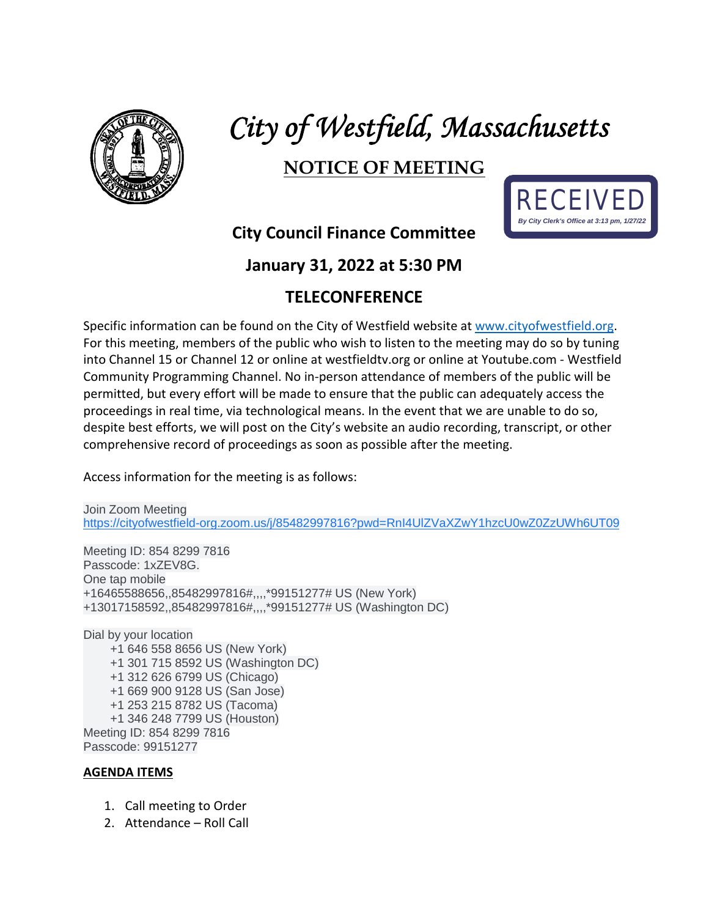

# *City of Westfield, Massachusetts*

## **NOTICE OF MEETING**



### **City Council Finance Committee**

#### **January 31, 2022 at 5:30 PM**

#### **TELECONFERENCE**

Specific information can be found on the City of Westfield website at [www.cityofwestfield.org.](http://www.cityofwestfield.org/) For this meeting, members of the public who wish to listen to the meeting may do so by tuning into Channel 15 or Channel 12 or online at westfieldtv.org or online at Youtube.com - Westfield Community Programming Channel. No in-person attendance of members of the public will be permitted, but every effort will be made to ensure that the public can adequately access the proceedings in real time, via technological means. In the event that we are unable to do so, despite best efforts, we will post on the City's website an audio recording, transcript, or other comprehensive record of proceedings as soon as possible after the meeting.

Access information for the meeting is as follows:

Join Zoom Meeting [https://cityofwestfield-org.zoom.us/j/85482997816?pwd=RnI4UlZVaXZwY1hzcU0wZ0ZzUWh6UT09](https://www.google.com/url?q=https://cityofwestfield-org.zoom.us/j/85482997816?pwd%3DRnI4UlZVaXZwY1hzcU0wZ0ZzUWh6UT09&sa=D&source=calendar&usd=2&usg=AOvVaw2SKDxmBdQVo-PC837jFqOM)

Meeting ID: 854 8299 7816 Passcode: 1xZEV8G. One tap mobile +16465588656,,85482997816#,,,,\*99151277# US (New York) +13017158592,,85482997816#,,,,\*99151277# US (Washington DC)

Dial by your location +1 646 558 8656 US (New York) +1 301 715 8592 US (Washington DC) +1 312 626 6799 US (Chicago) +1 669 900 9128 US (San Jose) +1 253 215 8782 US (Tacoma) +1 346 248 7799 US (Houston) Meeting ID: 854 8299 7816 Passcode: 99151277

#### **AGENDA ITEMS**

- 1. Call meeting to Order
- 2. Attendance Roll Call